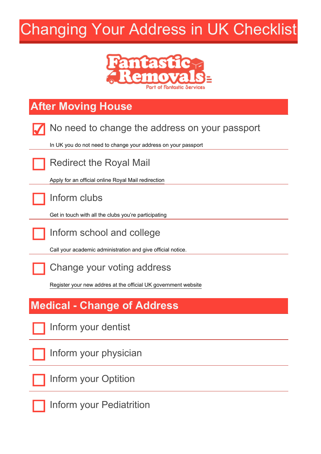# Changing Your Address in UK Checklist



# **After Moving House**

| No need to change the address on your passport                 |
|----------------------------------------------------------------|
| In UK you do not need to change your address on your passport  |
| <b>Redirect the Royal Mail</b>                                 |
| Apply for an official online Royal Mail redirection            |
| Inform clubs                                                   |
| Get in touch with all the clubs you're participating           |
| Inform school and college                                      |
| Call your academic administration and give official notice.    |
| Change your voting address                                     |
| Register your new addres at the official UK government website |
| <b>Medical - Change of Address</b>                             |
| Inform your dentist                                            |
| Inform your physician                                          |
| Inform your Optition                                           |
| Inform your Pediatrition                                       |